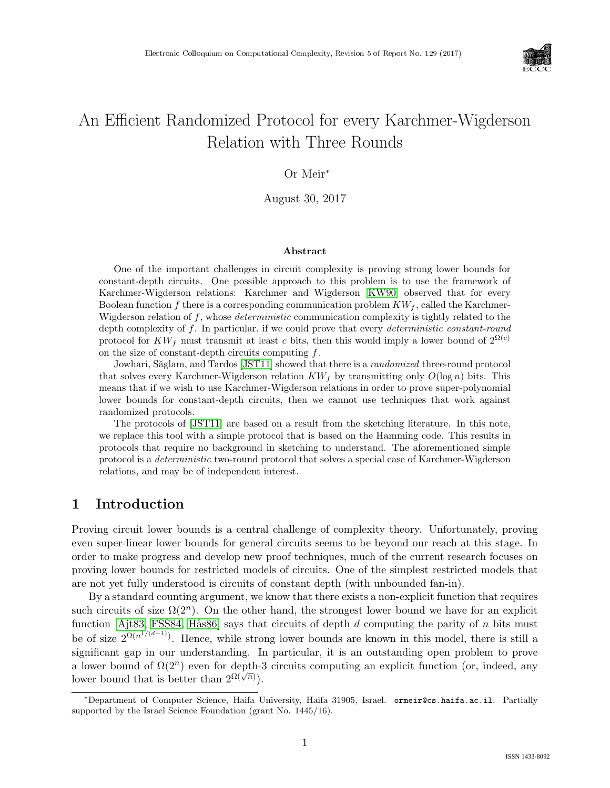

# An Efficient Randomized Protocol for every Karchmer-Wigderson Relation with Three Rounds

## Or Meir<sup>∗</sup>

August 30, 2017

#### Abstract

One of the important challenges in circuit complexity is proving strong lower bounds for constant-depth circuits. One possible approach to this problem is to use the framework of Karchmer-Wigderson relations: Karchmer and Wigderson [\[KW90\]](#page--1-0) observed that for every Boolean function f there is a corresponding communication problem  $KW_f$ , called the Karchmer-Wigderson relation of  $f$ , whose *deterministic* communication complexity is tightly related to the depth complexity of f. In particular, if we could prove that every *deterministic constant-round* protocol for  $KW_f$  must transmit at least c bits, then this would imply a lower bound of  $2^{\Omega(c)}$ on the size of constant-depth circuits computing  $f$ .

Jowhari, Săglam, and Tardos [\[JST11\]](#page--1-1) showed that there is a *randomized* three-round protocol that solves every Karchmer-Wigderson relation  $KW_f$  by transmitting only  $O(\log n)$  bits. This means that if we wish to use Karchmer-Wigderson relations in order to prove super-polynomial lower bounds for constant-depth circuits, then we cannot use techniques that work against randomized protocols.

The protocols of [\[JST11\]](#page--1-1) are based on a result from the sketching literature. In this note, we replace this tool with a simple protocol that is based on the Hamming code. This results in protocols that require no background in sketching to understand. The aforementioned simple protocol is a deterministic two-round protocol that solves a special case of Karchmer-Wigderson relations, and may be of independent interest.

## 1 Introduction

Proving circuit lower bounds is a central challenge of complexity theory. Unfortunately, proving even super-linear lower bounds for general circuits seems to be beyond our reach at this stage. In order to make progress and develop new proof techniques, much of the current research focuses on proving lower bounds for restricted models of circuits. One of the simplest restricted models that are not yet fully understood is circuits of constant depth (with unbounded fan-in).

By a standard counting argument, we know that there exists a non-explicit function that requires such circuits of size  $\Omega(2^n)$ . On the other hand, the strongest lower bound we have for an explicit function [\[Ajt83,](#page--1-2) [FSS84,](#page--1-3) Hås86] says that circuits of depth  $d$  computing the parity of  $n$  bits must be of size  $2^{\Omega(n^{1/(d-1)})}$ . Hence, while strong lower bounds are known in this model, there is still a significant gap in our understanding. In particular, it is an outstanding open problem to prove a lower bound of  $\Omega(2^n)$  even for depth-3 circuits computing an explicit function (or, indeed, any lower bound that is better than  $2^{\Omega(\sqrt{n})}$ .

<sup>∗</sup>Department of Computer Science, Haifa University, Haifa 31905, Israel. ormeir@cs.haifa.ac.il. Partially supported by the Israel Science Foundation (grant No. 1445/16).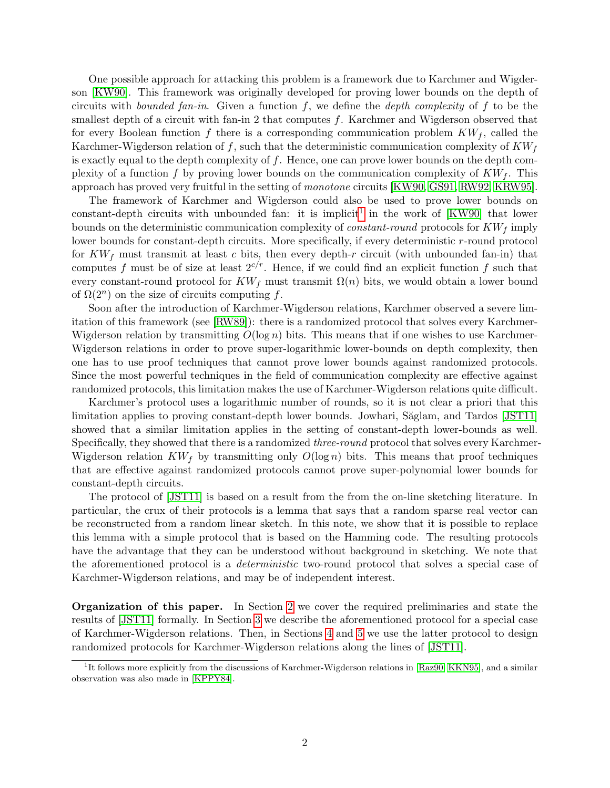One possible approach for attacking this problem is a framework due to Karchmer and Wigderson [\[KW90\]](#page--1-0). This framework was originally developed for proving lower bounds on the depth of circuits with *bounded fan-in*. Given a function f, we define the *depth complexity* of f to be the smallest depth of a circuit with fan-in 2 that computes  $f$ . Karchmer and Wigderson observed that for every Boolean function f there is a corresponding communication problem  $KW_f$ , called the Karchmer-Wigderson relation of f, such that the deterministic communication complexity of  $KW<sub>f</sub>$ is exactly equal to the depth complexity of  $f$ . Hence, one can prove lower bounds on the depth complexity of a function f by proving lower bounds on the communication complexity of  $KW_f$ . This approach has proved very fruitful in the setting of monotone circuits [\[KW90,](#page--1-0) [GS91,](#page-6-0) [RW92,](#page--1-5) [KRW95\]](#page--1-6).

The framework of Karchmer and Wigderson could also be used to prove lower bounds on constant-depth circuits with unbounded fan: it is implicit<sup>[1](#page-1-0)</sup> in the work of  $[KW90]$  that lower bounds on the deterministic communication complexity of *constant-round* protocols for  $KW_f$  imply lower bounds for constant-depth circuits. More specifically, if every deterministic r-round protocol for  $KW_f$  must transmit at least c bits, then every depth-r circuit (with unbounded fan-in) that computes f must be of size at least  $2^{c/r}$ . Hence, if we could find an explicit function f such that every constant-round protocol for  $KW_f$  must transmit  $\Omega(n)$  bits, we would obtain a lower bound of  $\Omega(2^n)$  on the size of circuits computing f.

Soon after the introduction of Karchmer-Wigderson relations, Karchmer observed a severe limitation of this framework (see [\[RW89\]](#page--1-7)): there is a randomized protocol that solves every Karchmer-Wigderson relation by transmitting  $O(\log n)$  bits. This means that if one wishes to use Karchmer-Wigderson relations in order to prove super-logarithmic lower-bounds on depth complexity, then one has to use proof techniques that cannot prove lower bounds against randomized protocols. Since the most powerful techniques in the field of communication complexity are effective against randomized protocols, this limitation makes the use of Karchmer-Wigderson relations quite difficult.

Karchmer's protocol uses a logarithmic number of rounds, so it is not clear a priori that this limitation applies to proving constant-depth lower bounds. Jowhari, Săglam, and Tardos [\[JST11\]](#page-6-1) showed that a similar limitation applies in the setting of constant-depth lower-bounds as well. Specifically, they showed that there is a randomized *three-round* protocol that solves every Karchmer-Wigderson relation  $KW_f$  by transmitting only  $O(\log n)$  bits. This means that proof techniques that are effective against randomized protocols cannot prove super-polynomial lower bounds for constant-depth circuits.

The protocol of [\[JST11\]](#page-6-1) is based on a result from the from the on-line sketching literature. In particular, the crux of their protocols is a lemma that says that a random sparse real vector can be reconstructed from a random linear sketch. In this note, we show that it is possible to replace this lemma with a simple protocol that is based on the Hamming code. The resulting protocols have the advantage that they can be understood without background in sketching. We note that the aforementioned protocol is a deterministic two-round protocol that solves a special case of Karchmer-Wigderson relations, and may be of independent interest.

Organization of this paper. In Section [2](#page-2-0) we cover the required preliminaries and state the results of [\[JST11\]](#page-6-1) formally. In Section [3](#page-3-0) we describe the aforementioned protocol for a special case of Karchmer-Wigderson relations. Then, in Sections [4](#page-5-0) and [5](#page-5-1) we use the latter protocol to design randomized protocols for Karchmer-Wigderson relations along the lines of [\[JST11\]](#page-6-1).

<span id="page-1-0"></span><sup>&</sup>lt;sup>1</sup>It follows more explicitly from the discussions of Karchmer-Wigderson relations in [\[Raz90,](#page--1-8) [KKN95\]](#page--1-9), and a similar observation was also made in [\[KPPY84\]](#page--1-10).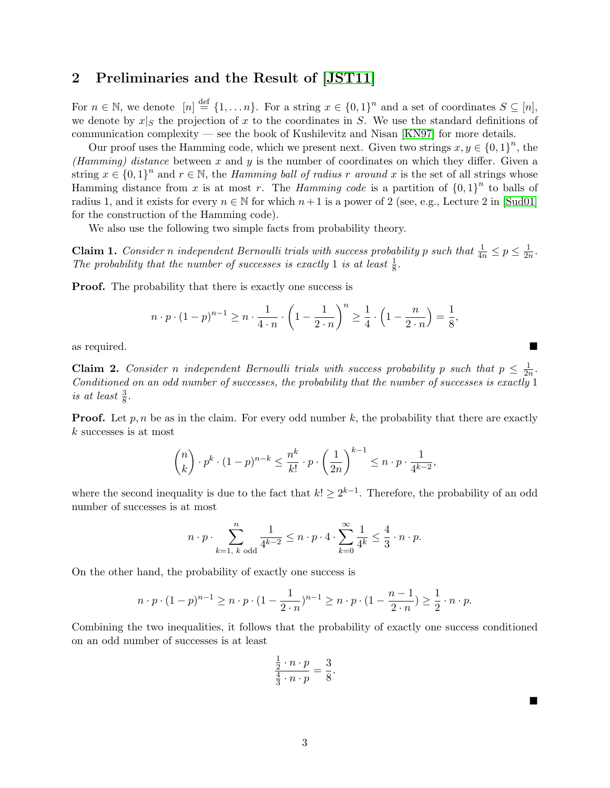## <span id="page-2-0"></span>2 Preliminaries and the Result of [\[JST11\]](#page-6-1)

For  $n \in \mathbb{N}$ , we denote  $[n] \stackrel{\text{def}}{=} \{1, \ldots n\}$ . For a string  $x \in \{0,1\}^n$  and a set of coordinates  $S \subseteq [n]$ , we denote by  $x|_S$  the projection of x to the coordinates in S. We use the standard definitions of communication complexity — see the book of Kushilevitz and Nisan [\[KN97\]](#page--1-11) for more details.

Our proof uses the Hamming code, which we present next. Given two strings  $x, y \in \{0,1\}^n$ , the (Hamming) distance between x and y is the number of coordinates on which they differ. Given a string  $x \in \{0,1\}^n$  and  $r \in \mathbb{N}$ , the *Hamming ball of radius r around* x is the set of all strings whose Hamming distance from x is at most r. The *Hamming code* is a partition of  ${0,1}^n$  to balls of radius 1, and it exists for every  $n \in \mathbb{N}$  for which  $n+1$  is a power of 2 (see, e.g., Lecture 2 in [\[Sud01\]](#page--1-12) for the construction of the Hamming code).

We also use the following two simple facts from probability theory.

<span id="page-2-1"></span>**Claim 1.** Consider n independent Bernoulli trials with success probability p such that  $\frac{1}{4n} \leq p \leq \frac{1}{2n}$  $\frac{1}{2n}$ . The probability that the number of successes is exactly 1 is at least  $\frac{1}{8}$ .

**Proof.** The probability that there is exactly one success is

$$
n \cdot p \cdot (1-p)^{n-1} \ge n \cdot \frac{1}{4 \cdot n} \cdot \left(1 - \frac{1}{2 \cdot n}\right)^n \ge \frac{1}{4} \cdot \left(1 - \frac{n}{2 \cdot n}\right) = \frac{1}{8},
$$

as required.

<span id="page-2-2"></span>**Claim 2.** Consider n independent Bernoulli trials with success probability p such that  $p \leq \frac{1}{2p}$  $\frac{1}{2n}$ . Conditioned on an odd number of successes, the probability that the number of successes is exactly 1 is at least  $\frac{3}{8}$ .

**Proof.** Let  $p, n$  be as in the claim. For every odd number k, the probability that there are exactly k successes is at most

$$
\binom{n}{k} \cdot p^k \cdot (1-p)^{n-k} \le \frac{n^k}{k!} \cdot p \cdot \left(\frac{1}{2n}\right)^{k-1} \le n \cdot p \cdot \frac{1}{4^{k-2}},
$$

where the second inequality is due to the fact that  $k! \geq 2^{k-1}$ . Therefore, the probability of an odd number of successes is at most

$$
n \cdot p \cdot \sum_{k=1, k \text{ odd}}^{n} \frac{1}{4^{k-2}} \leq n \cdot p \cdot 4 \cdot \sum_{k=0}^{\infty} \frac{1}{4^k} \leq \frac{4}{3} \cdot n \cdot p.
$$

On the other hand, the probability of exactly one success is

$$
n \cdot p \cdot (1-p)^{n-1} \ge n \cdot p \cdot (1-\frac{1}{2 \cdot n})^{n-1} \ge n \cdot p \cdot (1-\frac{n-1}{2 \cdot n}) \ge \frac{1}{2} \cdot n \cdot p.
$$

Combining the two inequalities, it follows that the probability of exactly one success conditioned on an odd number of successes is at least

$$
\frac{\frac{1}{2} \cdot n \cdot p}{\frac{4}{3} \cdot n \cdot p} = \frac{3}{8}.
$$

 $\blacksquare$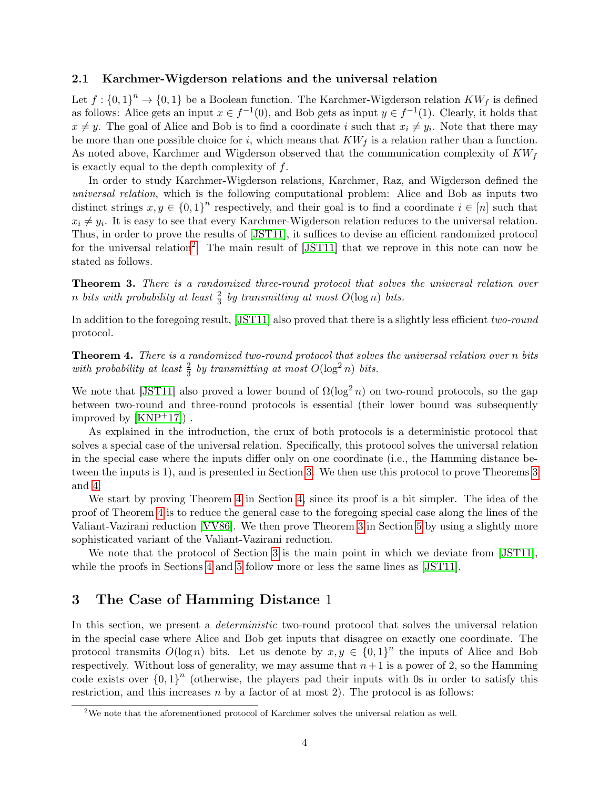### 2.1 Karchmer-Wigderson relations and the universal relation

Let  $f: \{0,1\}^n \to \{0,1\}$  be a Boolean function. The Karchmer-Wigderson relation  $KW_f$  is defined as follows: Alice gets an input  $x \in f^{-1}(0)$ , and Bob gets as input  $y \in f^{-1}(1)$ . Clearly, it holds that  $x \neq y$ . The goal of Alice and Bob is to find a coordinate i such that  $x_i \neq y_i$ . Note that there may be more than one possible choice for i, which means that  $KW<sub>f</sub>$  is a relation rather than a function. As noted above, Karchmer and Wigderson observed that the communication complexity of  $KW<sub>f</sub>$ is exactly equal to the depth complexity of  $f$ .

In order to study Karchmer-Wigderson relations, Karchmer, Raz, and Wigderson defined the universal relation, which is the following computational problem: Alice and Bob as inputs two distinct strings  $x, y \in \{0,1\}^n$  respectively, and their goal is to find a coordinate  $i \in [n]$  such that  $x_i \neq y_i$ . It is easy to see that every Karchmer-Wigderson relation reduces to the universal relation. Thus, in order to prove the results of [\[JST11\]](#page-6-1), it suffices to devise an efficient randomized protocol for the universal relation<sup>[2](#page-3-1)</sup>. The main result of [\[JST11\]](#page-6-1) that we reprove in this note can now be stated as follows.

<span id="page-3-2"></span>Theorem 3. There is a randomized three-round protocol that solves the universal relation over n bits with probability at least  $\frac{2}{3}$  by transmitting at most  $O(\log n)$  bits.

In addition to the foregoing result, [\[JST11\]](#page-6-1) also proved that there is a slightly less efficient two-round protocol.

<span id="page-3-3"></span>Theorem 4. There is a randomized two-round protocol that solves the universal relation over n bits with probability at least  $\frac{2}{3}$  by transmitting at most  $O(\log^2 n)$  bits.

We note that [\[JST11\]](#page-6-1) also proved a lower bound of  $\Omega(\log^2 n)$  on two-round protocols, so the gap between two-round and three-round protocols is essential (their lower bound was subsequently improved by  $[KNP<sup>+</sup>17]$  $[KNP<sup>+</sup>17]$ .

As explained in the introduction, the crux of both protocols is a deterministic protocol that solves a special case of the universal relation. Specifically, this protocol solves the universal relation in the special case where the inputs differ only on one coordinate (i.e., the Hamming distance between the inputs is 1), and is presented in Section [3.](#page-3-0) We then use this protocol to prove Theorems [3](#page-3-2) and [4.](#page-3-3)

We start by proving Theorem [4](#page-3-3) in Section [4,](#page-5-0) since its proof is a bit simpler. The idea of the proof of Theorem [4](#page-3-3) is to reduce the general case to the foregoing special case along the lines of the Valiant-Vazirani reduction [\[VV86\]](#page--1-14). We then prove Theorem [3](#page-3-2) in Section [5](#page-5-1) by using a slightly more sophisticated variant of the Valiant-Vazirani reduction.

We note that the protocol of Section [3](#page-3-0) is the main point in which we deviate from [\[JST11\]](#page-6-1), while the proofs in Sections [4](#page-5-0) and [5](#page-5-1) follow more or less the same lines as [\[JST11\]](#page-6-1).

## <span id="page-3-0"></span>3 The Case of Hamming Distance 1

In this section, we present a *deterministic* two-round protocol that solves the universal relation in the special case where Alice and Bob get inputs that disagree on exactly one coordinate. The protocol transmits  $O(\log n)$  bits. Let us denote by  $x, y \in \{0,1\}^n$  the inputs of Alice and Bob respectively. Without loss of generality, we may assume that  $n+1$  is a power of 2, so the Hamming code exists over  $\{0,1\}^n$  (otherwise, the players pad their inputs with 0s in order to satisfy this restriction, and this increases  $n$  by a factor of at most 2). The protocol is as follows:

<span id="page-3-1"></span> $2$ We note that the aforementioned protocol of Karchmer solves the universal relation as well.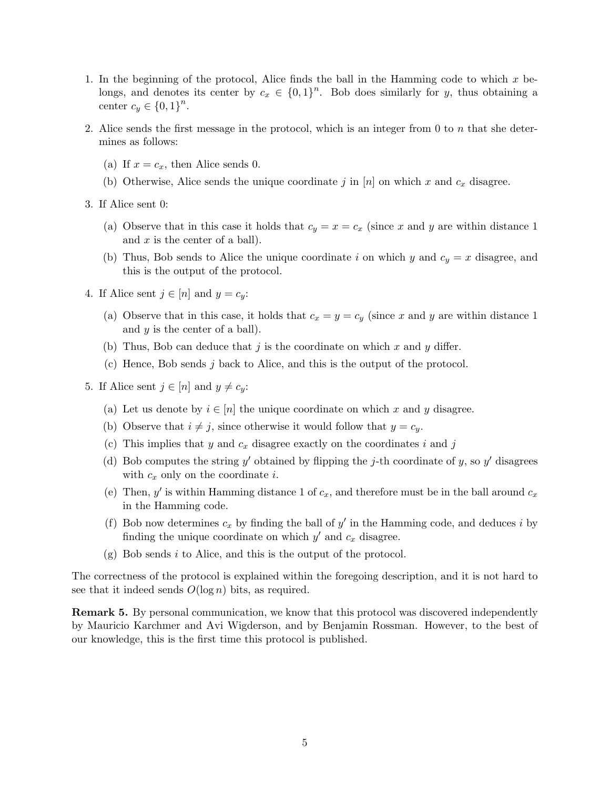- 1. In the beginning of the protocol, Alice finds the ball in the Hamming code to which x belongs, and denotes its center by  $c_x \in \{0,1\}^n$ . Bob does similarly for y, thus obtaining a center  $c_y \in \{0,1\}^n$ .
- 2. Alice sends the first message in the protocol, which is an integer from 0 to n that she determines as follows:
	- (a) If  $x = c_x$ , then Alice sends 0.
	- (b) Otherwise, Alice sends the unique coordinate j in [n] on which x and  $c_x$  disagree.
- 3. If Alice sent 0:
	- (a) Observe that in this case it holds that  $c_y = x = c_x$  (since x and y are within distance 1) and  $x$  is the center of a ball).
	- (b) Thus, Bob sends to Alice the unique coordinate i on which y and  $c_y = x$  disagree, and this is the output of the protocol.
- 4. If Alice sent  $j \in [n]$  and  $y = c_y$ :
	- (a) Observe that in this case, it holds that  $c_x = y = c_y$  (since x and y are within distance 1) and  $y$  is the center of a ball).
	- (b) Thus, Bob can deduce that j is the coordinate on which x and y differ.
	- (c) Hence, Bob sends j back to Alice, and this is the output of the protocol.
- 5. If Alice sent  $j \in [n]$  and  $y \neq c_y$ :
	- (a) Let us denote by  $i \in [n]$  the unique coordinate on which x and y disagree.
	- (b) Observe that  $i \neq j$ , since otherwise it would follow that  $y = c_y$ .
	- (c) This implies that y and  $c_x$  disagree exactly on the coordinates i and j
	- (d) Bob computes the string y' obtained by flipping the j-th coordinate of y, so y' disagrees with  $c_x$  only on the coordinate *i*.
	- (e) Then, y' is within Hamming distance 1 of  $c_x$ , and therefore must be in the ball around  $c_x$ in the Hamming code.
	- (f) Bob now determines  $c_x$  by finding the ball of  $y'$  in the Hamming code, and deduces i by finding the unique coordinate on which  $y'$  and  $c_x$  disagree.
	- $(g)$  Bob sends i to Alice, and this is the output of the protocol.

The correctness of the protocol is explained within the foregoing description, and it is not hard to see that it indeed sends  $O(\log n)$  bits, as required.

Remark 5. By personal communication, we know that this protocol was discovered independently by Mauricio Karchmer and Avi Wigderson, and by Benjamin Rossman. However, to the best of our knowledge, this is the first time this protocol is published.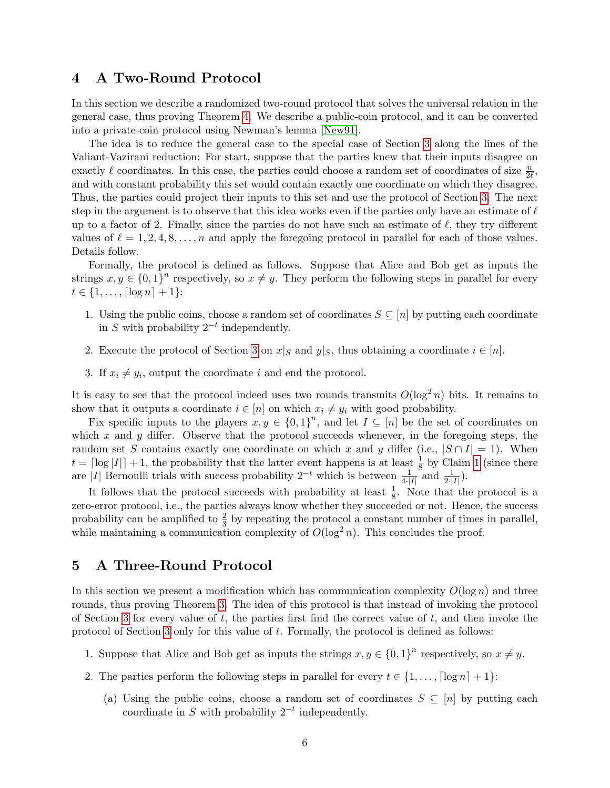## <span id="page-5-0"></span>4 A Two-Round Protocol

In this section we describe a randomized two-round protocol that solves the universal relation in the general case, thus proving Theorem [4.](#page-3-3) We describe a public-coin protocol, and it can be converted into a private-coin protocol using Newman's lemma [\[New91\]](#page--1-15).

The idea is to reduce the general case to the special case of Section [3](#page-3-0) along the lines of the Valiant-Vazirani reduction: For start, suppose that the parties knew that their inputs disagree on exactly  $\ell$  coordinates. In this case, the parties could choose a random set of coordinates of size  $\frac{n}{2\ell}$ , and with constant probability this set would contain exactly one coordinate on which they disagree. Thus, the parties could project their inputs to this set and use the protocol of Section [3.](#page-3-0) The next step in the argument is to observe that this idea works even if the parties only have an estimate of  $\ell$ up to a factor of 2. Finally, since the parties do not have such an estimate of  $\ell$ , they try different values of  $\ell = 1, 2, 4, 8, \ldots, n$  and apply the foregoing protocol in parallel for each of those values. Details follow.

Formally, the protocol is defined as follows. Suppose that Alice and Bob get as inputs the strings  $x, y \in \{0, 1\}^n$  respectively, so  $x \neq y$ . They perform the following steps in parallel for every  $t \in \{1, \ldots, \lceil \log n \rceil + 1\}$ :

- 1. Using the public coins, choose a random set of coordinates  $S \subseteq [n]$  by putting each coordinate in S with probability  $2^{-t}$  independently.
- 2. Execute the protocol of Section [3](#page-3-0) on  $x|_S$  and  $y|_S$ , thus obtaining a coordinate  $i \in [n]$ .
- 3. If  $x_i \neq y_i$ , output the coordinate i and end the protocol.

It is easy to see that the protocol indeed uses two rounds transmits  $O(\log^2 n)$  bits. It remains to show that it outputs a coordinate  $i \in [n]$  on which  $x_i \neq y_i$  with good probability.

Fix specific inputs to the players  $x, y \in \{0,1\}^n$ , and let  $I \subseteq [n]$  be the set of coordinates on which x and y differ. Observe that the protocol succeeds whenever, in the foregoing steps, the random set S contains exactly one coordinate on which x and y differ (i.e.,  $|S \cap I| = 1$ ). When  $t = \lceil \log |I| \rceil + 1$  $t = \lceil \log |I| \rceil + 1$ , the probability that the latter event happens is at least  $\frac{1}{8}$  by Claim 1 (since there are |I| Bernoulli trials with success probability  $2^{-t}$  which is between  $\frac{1}{4\cdot |I|}$  and  $\frac{1}{2\cdot |I|}$ ).

It follows that the protocol succeeds with probability at least  $\frac{1}{8}$ . Note that the protocol is a zero-error protocol, i.e., the parties always know whether they succeeded or not. Hence, the success probability can be amplified to  $\frac{2}{3}$  by repeating the protocol a constant number of times in parallel, while maintaining a communication complexity of  $O(\log^2 n)$ . This concludes the proof.

## <span id="page-5-1"></span>5 A Three-Round Protocol

In this section we present a modification which has communication complexity  $O(\log n)$  and three rounds, thus proving Theorem [3.](#page-3-2) The idea of this protocol is that instead of invoking the protocol of Section [3](#page-3-0) for every value of  $t$ , the parties first find the correct value of  $t$ , and then invoke the protocol of Section [3](#page-3-0) only for this value of t. Formally, the protocol is defined as follows:

- 1. Suppose that Alice and Bob get as inputs the strings  $x, y \in \{0, 1\}^n$  respectively, so  $x \neq y$ .
- <span id="page-5-2"></span>2. The parties perform the following steps in parallel for every  $t \in \{1, \ldots, \lceil \log n \rceil + 1\}$ :
	- (a) Using the public coins, choose a random set of coordinates  $S \subseteq [n]$  by putting each coordinate in S with probability  $2^{-t}$  independently.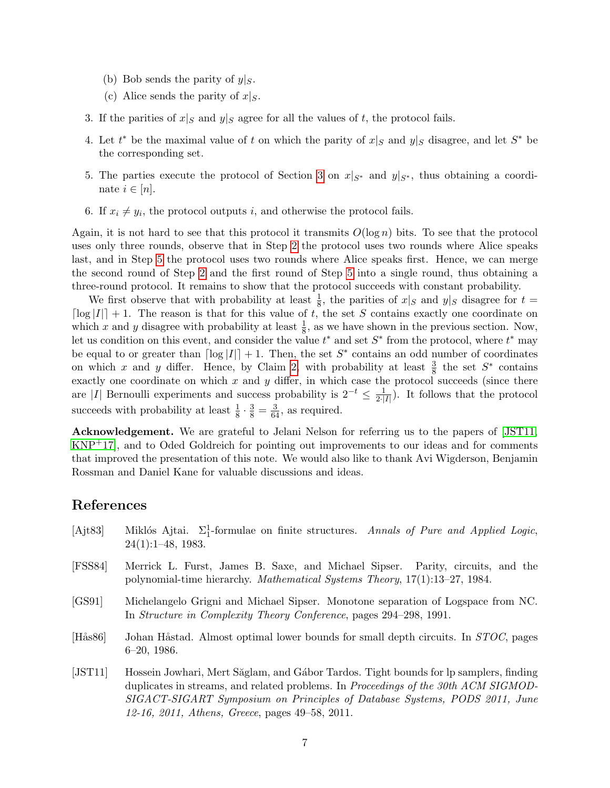- (b) Bob sends the parity of  $y|_S$ .
- (c) Alice sends the parity of  $x|_S$ .
- 3. If the parities of  $x|_S$  and  $y|_S$  agree for all the values of t, the protocol fails.
- 4. Let  $t^*$  be the maximal value of t on which the parity of  $x|_S$  and  $y|_S$  disagree, and let  $S^*$  be the corresponding set.
- <span id="page-6-2"></span>5. The parties execute the protocol of Section [3](#page-3-0) on  $x|_{S^*}$  and  $y|_{S^*}$ , thus obtaining a coordinate  $i \in [n]$ .
- 6. If  $x_i \neq y_i$ , the protocol outputs i, and otherwise the protocol fails.

Again, it is not hard to see that this protocol it transmits  $O(\log n)$  bits. To see that the protocol uses only three rounds, observe that in Step [2](#page-5-2) the protocol uses two rounds where Alice speaks last, and in Step [5](#page-6-2) the protocol uses two rounds where Alice speaks first. Hence, we can merge the second round of Step [2](#page-5-2) and the first round of Step [5](#page-6-2) into a single round, thus obtaining a three-round protocol. It remains to show that the protocol succeeds with constant probability.

We first observe that with probability at least  $\frac{1}{8}$ , the parities of  $x|_S$  and  $y|_S$  disagree for  $t =$  $\lceil \log |I| \rceil + 1$ . The reason is that for this value of t, the set S contains exactly one coordinate on which x and y disagree with probability at least  $\frac{1}{8}$ , as we have shown in the previous section. Now, let us condition on this event, and consider the value  $t^*$  and set  $S^*$  from the protocol, where  $t^*$  may be equal to or greater than  $\lceil \log |I| \rceil + 1$ . Then, the set  $S^*$  contains an odd number of coordinates on which x and y differ. Hence, by Claim [2,](#page-2-2) with probability at least  $\frac{3}{8}$  the set  $S^*$  contains exactly one coordinate on which  $x$  and  $y$  differ, in which case the protocol succeeds (since there are |I| Bernoulli experiments and success probability is  $2^{-t} \leq \frac{1}{2}$  $\frac{1}{2\cdot|I|}$ ). It follows that the protocol succeeds with probability at least  $\frac{1}{8} \cdot \frac{3}{8} = \frac{3}{64}$ , as required.

Acknowledgement. We are grateful to Jelani Nelson for referring us to the papers of [\[JST11,](#page-6-1) [KNP](#page--1-13)+17], and to Oded Goldreich for pointing out improvements to our ideas and for comments that improved the presentation of this note. We would also like to thank Avi Wigderson, Benjamin Rossman and Daniel Kane for valuable discussions and ideas.

## References

- [Ajt83] Miklós Ajtai.  $\Sigma_1^1$ -formulae on finite structures. Annals of Pure and Applied Logic, 24(1):1–48, 1983.
- [FSS84] Merrick L. Furst, James B. Saxe, and Michael Sipser. Parity, circuits, and the polynomial-time hierarchy. Mathematical Systems Theory, 17(1):13–27, 1984.
- <span id="page-6-0"></span>[GS91] Michelangelo Grigni and Michael Sipser. Monotone separation of Logspace from NC. In Structure in Complexity Theory Conference, pages 294–298, 1991.
- [Hås86] Johan Håstad. Almost optimal lower bounds for small depth circuits. In *STOC*, pages 6–20, 1986.
- <span id="page-6-1"></span>[JST11] Hossein Jowhari, Mert Săglam, and Gábor Tardos. Tight bounds for lp samplers, finding duplicates in streams, and related problems. In Proceedings of the 30th ACM SIGMOD-SIGACT-SIGART Symposium on Principles of Database Systems, PODS 2011, June 12-16, 2011, Athens, Greece, pages 49–58, 2011.